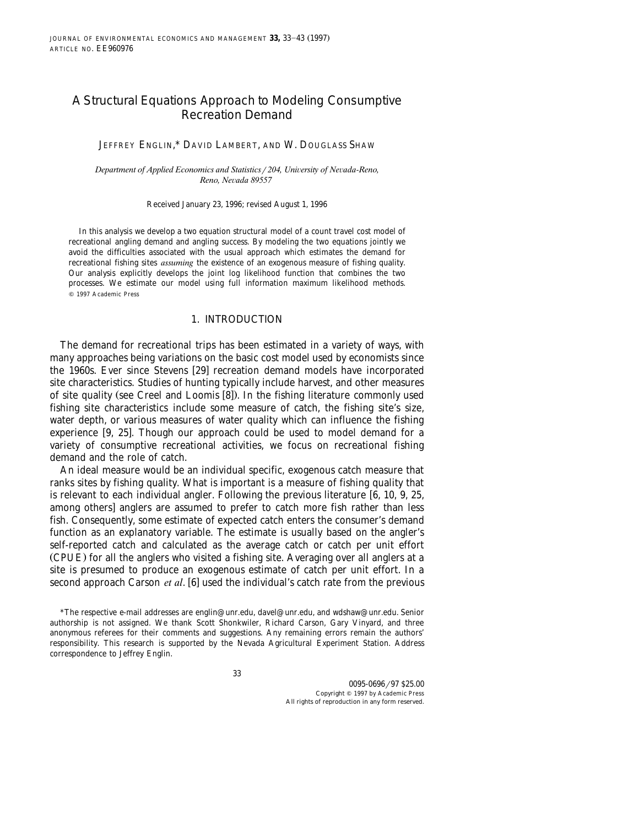# A Structural Equations Approach to Modeling Consumptive Recreation Demand

### JEFFREY ENGLIN,\* DAVID LAMBERT, AND W. DOUGLASS SHAW

*Department of Applied Economics and Statistics* / 204, University of Nevada-Reno, *Reno, Ne*¨*ada 89557*

Received January 23, 1996; revised August 1, 1996

In this analysis we develop a two equation structural model of a count travel cost model of recreational angling demand and angling success. By modeling the two equations jointly we avoid the difficulties associated with the usual approach which estimates the demand for recreational fishing sites *assuming* the existence of an exogenous measure of fishing quality. Our analysis explicitly develops the joint log likelihood function that combines the two processes. We estimate our model using full information maximum likelihood methods. Q 1997 Academic Press

### 1. INTRODUCTION

The demand for recreational trips has been estimated in a variety of ways, with many approaches being variations on the basic cost model used by economists since the 1960s. Ever since Stevens [29] recreation demand models have incorporated site characteristics. Studies of hunting typically include harvest, and other measures of site quality (see Creel and Loomis  $[8]$ ). In the fishing literature commonly used fishing site characteristics include some measure of catch, the fishing site's size, water depth, or various measures of water quality which can influence the fishing experience [9, 25]. Though our approach could be used to model demand for a variety of consumptive recreational activities, we focus on recreational fishing demand and the role of catch.

An ideal measure would be an individual specific, exogenous catch measure that ranks sites by fishing quality. What is important is a measure of fishing quality that is relevant to each individual angler. Following the previous literature  $\left[6, 10, 9, 25, \right]$ among others] anglers are assumed to prefer to catch more fish rather than less fish. Consequently, some estimate of expected catch enters the consumer's demand function as an explanatory variable. The estimate is usually based on the angler's self-reported catch and calculated as the average catch or catch per unit effort (CPUE) for all the anglers who visited a fishing site. Averaging over all anglers at a site is presumed to produce an exogenous estimate of catch per unit effort. In a second approach Carson *et al.* [6] used the individual's catch rate from the previous

<sup>\*</sup>The respective e-mail addresses are englin@unr.edu, davel@unr.edu, and wdshaw@unr.edu. Senior authorship is not assigned. We thank Scott Shonkwiler, Richard Carson, Gary Vinyard, and three anonymous referees for their comments and suggestions. Any remaining errors remain the authors' responsibility. This research is supported by the Nevada Agricultural Experiment Station. Address correspondence to Jeffrey Englin.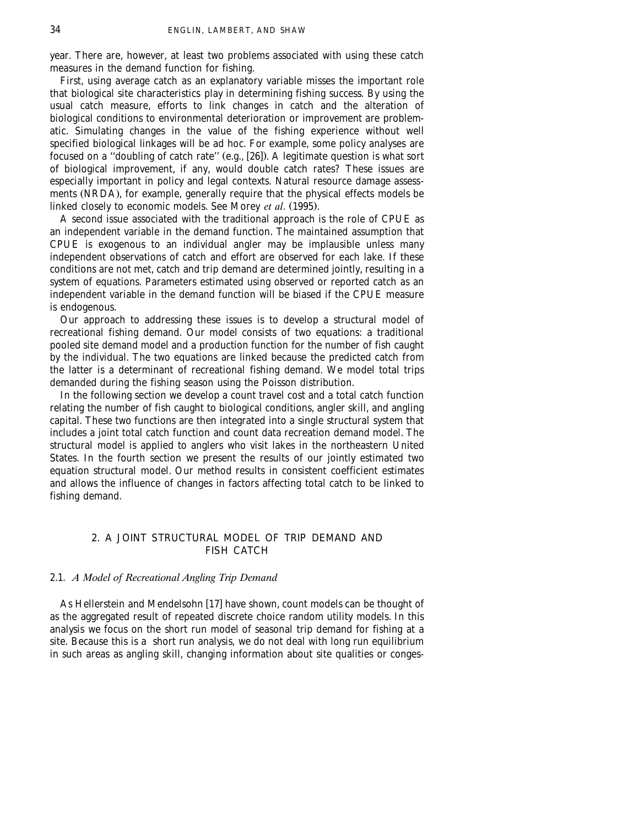year. There are, however, at least two problems associated with using these catch measures in the demand function for fishing.

First, using average catch as an explanatory variable misses the important role that biological site characteristics play in determining fishing success. By using the usual catch measure, efforts to link changes in catch and the alteration of biological conditions to environmental deterioration or improvement are problematic. Simulating changes in the value of the fishing experience without well specified biological linkages will be ad hoc. For example, some policy analyses are focused on a "doubling of catch rate" (e.g., [26]). A legitimate question is what sort of biological improvement, if any, would double catch rates? These issues are especially important in policy and legal contexts. Natural resource damage assessments (NRDA), for example, generally require that the physical effects models be linked closely to economic models. See Morey *et al.* (1995).

A second issue associated with the traditional approach is the role of CPUE as an independent variable in the demand function. The maintained assumption that CPUE is exogenous to an individual angler may be implausible unless many independent observations of catch and effort are observed for each lake. If these conditions are not met, catch and trip demand are determined jointly, resulting in a system of equations. Parameters estimated using observed or reported catch as an independent variable in the demand function will be biased if the CPUE measure is endogenous.

Our approach to addressing these issues is to develop a structural model of recreational fishing demand. Our model consists of two equations: a traditional pooled site demand model and a production function for the number of fish caught by the individual. The two equations are linked because the predicted catch from the latter is a determinant of recreational fishing demand. We model total trips demanded during the fishing season using the Poisson distribution.

In the following section we develop a count travel cost and a total catch function relating the number of fish caught to biological conditions, angler skill, and angling capital. These two functions are then integrated into a single structural system that includes a joint total catch function and count data recreation demand model. The structural model is applied to anglers who visit lakes in the northeastern United States. In the fourth section we present the results of our jointly estimated two equation structural model. Our method results in consistent coefficient estimates and allows the influence of changes in factors affecting total catch to be linked to fishing demand.

### 2. A JOINT STRUCTURAL MODEL OF TRIP DEMAND AND FISH CATCH

## 2.1. *A Model of Recreational Angling Trip Demand*

As Hellerstein and Mendelsohn [17] have shown, count models can be thought of as the aggregated result of repeated discrete choice random utility models. In this analysis we focus on the short run model of seasonal trip demand for fishing at a site. Because this is a short run analysis, we do not deal with long run equilibrium in such areas as angling skill, changing information about site qualities or conges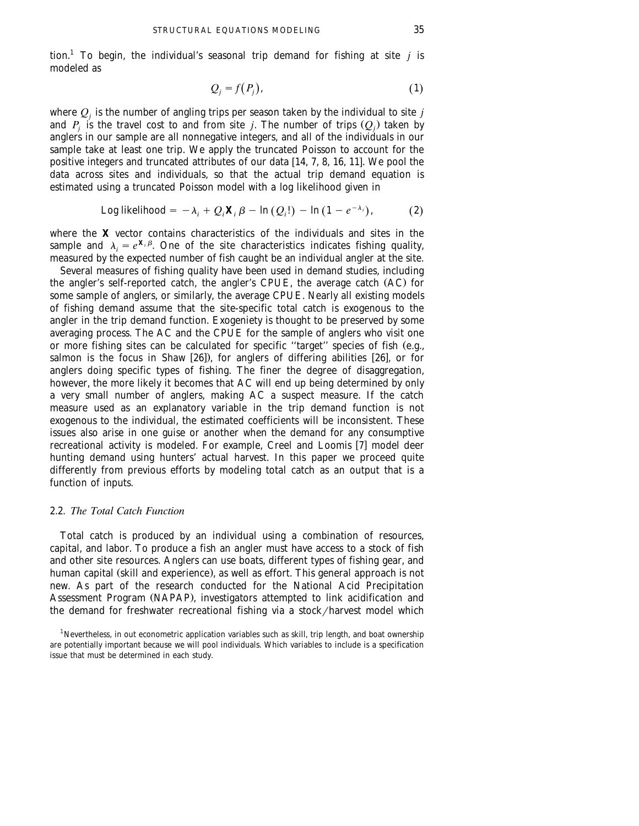tion.<sup>1</sup> To begin, the individual's seasonal trip demand for fishing at site  $j$  is modeled as

$$
Q_j = f(P_j), \tag{1}
$$

where  $\mathcal{Q}_j$  is the number of angling trips per season taken by the individual to site  $j$ and  $P_j$  is the travel cost to and from site *j*. The number of trips  $(Q_j)$  taken by anglers in our sample are all nonnegative integers, and all of the individuals in our sample take at least one trip. We apply the truncated Poisson to account for the positive integers and truncated attributes of our data  $[14, 7, 8, 16, 11]$ . We pool the data across sites and individuals, so that the actual trip demand equation is estimated using a truncated Poisson model with a log likelihood given in

Log likelihood = 
$$
-\lambda_i + Q_i \mathbf{X}_i \beta - \ln (Q_i!) - \ln (1 - e^{-\lambda_i}),
$$
 (2)

where the **X** vector contains characteristics of the individuals and sites in the sample and  $\lambda_i = e^{X_i \beta}$ . One of the site characteristics indicates fishing quality, measured by the expected number of fish caught be an individual angler at the site.

Several measures of fishing quality have been used in demand studies, including the angler's self-reported catch, the angler's CPUE, the average catch  $(AC)$  for some sample of anglers, or similarly, the average CPUE. Nearly all existing models of fishing demand assume that the site-specific total catch is exogenous to the angler in the trip demand function. Exogeniety is thought to be preserved by some averaging process. The AC and the CPUE for the sample of anglers who visit one or more fishing sites can be calculated for specific "target" species of fish (e.g., salmon is the focus in Shaw [26]), for anglers of differing abilities [26], or for anglers doing specific types of fishing. The finer the degree of disaggregation, however, the more likely it becomes that AC will end up being determined by only a very small number of anglers, making AC a suspect measure. If the catch measure used as an explanatory variable in the trip demand function is not exogenous to the individual, the estimated coefficients will be inconsistent. These issues also arise in one guise or another when the demand for any consumptive recreational activity is modeled. For example, Creel and Loomis [7] model deer hunting demand using hunters' actual harvest. In this paper we proceed quite differently from previous efforts by modeling total catch as an output that is a function of inputs.

### 2.2. *The Total Catch Function*

Total catch is produced by an individual using a combination of resources, capital, and labor. To produce a fish an angler must have access to a stock of fish and other site resources. Anglers can use boats, different types of fishing gear, and human capital (skill and experience), as well as effort. This general approach is not new. As part of the research conducted for the National Acid Precipitation Assessment Program (NAPAP), investigators attempted to link acidification and the demand for freshwater recreational fishing via a stock/harvest model which

<sup>&</sup>lt;sup>1</sup>Nevertheless, in out econometric application variables such as skill, trip length, and boat ownership are potentially important because we will pool individuals. Which variables to include is a specification issue that must be determined in each study.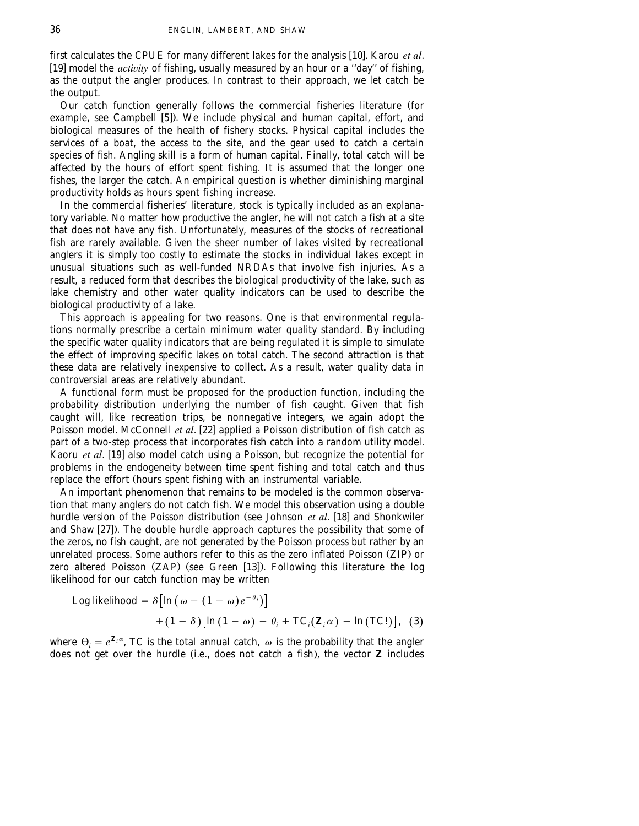first calculates the CPUE for many different lakes for the analysis [10]. Karou et al. [19] model the *activity* of fishing, usually measured by an hour or a "day" of fishing, as the output the angler produces. In contrast to their approach, we let catch be the output.

Our catch function generally follows the commercial fisheries literature (for example, see Campbell  $[5]$ ). We include physical and human capital, effort, and biological measures of the health of fishery stocks. Physical capital includes the services of a boat, the access to the site, and the gear used to catch a certain species of fish. Angling skill is a form of human capital. Finally, total catch will be affected by the hours of effort spent fishing. It is assumed that the longer one fishes, the larger the catch. An empirical question is whether diminishing marginal productivity holds as hours spent fishing increase.

In the commercial fisheries' literature, stock is typically included as an explanatory variable. No matter how productive the angler, he will not catch a fish at a site that does not have any fish. Unfortunately, measures of the stocks of recreational fish are rarely available. Given the sheer number of lakes visited by recreational anglers it is simply too costly to estimate the stocks in individual lakes except in unusual situations such as well-funded NRDAs that involve fish injuries. As a result, a reduced form that describes the biological productivity of the lake, such as lake chemistry and other water quality indicators can be used to describe the biological productivity of a lake.

This approach is appealing for two reasons. One is that environmental regulations normally prescribe a certain minimum water quality standard. By including the specific water quality indicators that are being regulated it is simple to simulate the effect of improving specific lakes on total catch. The second attraction is that these data are relatively inexpensive to collect. As a result, water quality data in controversial areas are relatively abundant.

A functional form must be proposed for the production function, including the probability distribution underlying the number of fish caught. Given that fish caught will, like recreation trips, be nonnegative integers, we again adopt the Poisson model. McConnell *et al.* [22] applied a Poisson distribution of fish catch as part of a two-step process that incorporates fish catch into a random utility model. Kaoru *et al.* [19] also model catch using a Poisson, but recognize the potential for problems in the endogeneity between time spent fishing and total catch and thus replace the effort (hours spent fishing with an instrumental variable.

An important phenomenon that remains to be modeled is the common observation that many anglers do not catch fish. We model this observation using a double hurdle version of the Poisson distribution (see Johnson *et al.* [18] and Shonkwiler and Shaw  $[27]$ ). The double hurdle approach captures the possibility that some of the zeros, no fish caught, are not generated by the Poisson process but rather by an unrelated process. Some authors refer to this as the zero inflated Poisson (ZIP) or zero altered Poisson  $(ZAP)$  (see Green [13]). Following this literature the log likelihood for our catch function may be written

Log likelihood = 
$$
\delta [\ln (\omega + (1 - \omega)e^{-\theta_i})]
$$
  
  $+ (1 - \delta) [\ln (1 - \omega) - \theta_i + TC_i(\mathbf{Z}_i \alpha) - \ln (TC!)], (3)$ 

where  $\Theta_i = e^{\mathbf{Z}_i \alpha}$ , TC is the total annual catch,  $\omega$  is the probability that the angler does not get over the hurdle (i.e., does not catch a fish), the vector **Z** includes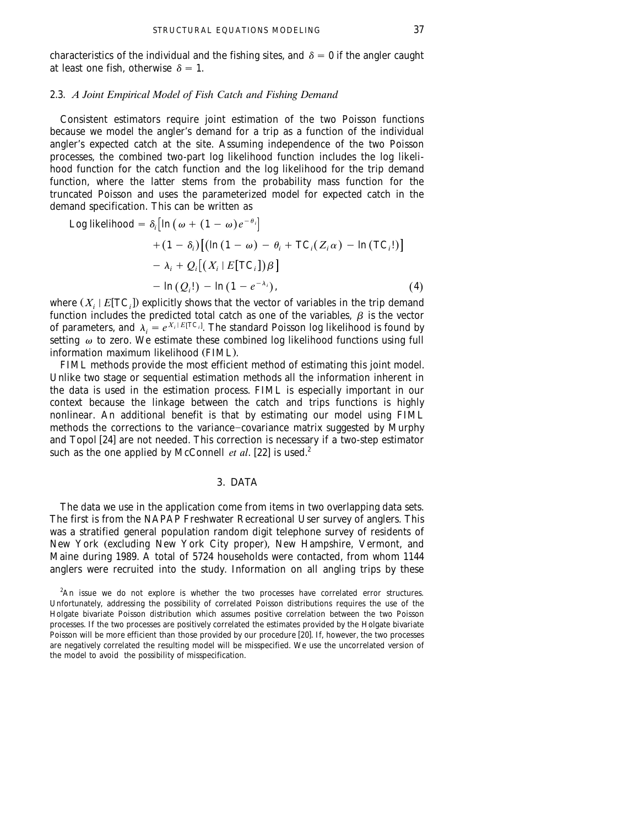characteristics of the individual and the fishing sites, and  $\delta = 0$  if the angler caught at least one fish, otherwise  $\delta = 1$ .

### 2.3. *A Joint Empirical Model of Fish Catch and Fishing Demand*

Consistent estimators require joint estimation of the two Poisson functions because we model the angler's demand for a trip as a function of the individual angler's expected catch at the site. Assuming independence of the two Poisson processes, the combined two-part log likelihood function includes the log likelihood function for the catch function and the log likelihood for the trip demand function, where the latter stems from the probability mass function for the truncated Poisson and uses the parameterized model for expected catch in the demand specification. This can be written as

Log likelihood = 
$$
\delta_i [\ln (\omega + (1 - \omega)e^{-\theta_i}]
$$
  
+  $(1 - \delta_i) [(\ln (1 - \omega) - \theta_i + TC_i(Z_i\alpha) - \ln (TC_i!)]$   
-  $\lambda_i + Q_i [(X_i | E[TC_i])\beta]$   
-  $\ln (Q_i!) - \ln (1 - e^{-\lambda_i}),$  (4)

where  $(X_i | E[TC_i])$  explicitly shows that the vector of variables in the trip demand function includes the predicted total catch as one of the variables,  $\beta$  is the vector of parameters, and  $\lambda_i = e^{X_i|E[\text{TC}_i]}$ . The standard Poisson log likelihood is found by setting  $\omega$  to zero. We estimate these combined log likelihood functions using full information maximum likelihood (FIML).

FIML methods provide the most efficient method of estimating this joint model. Unlike two stage or sequential estimation methods all the information inherent in the data is used in the estimation process. FIML is especially important in our context because the linkage between the catch and trips functions is highly nonlinear. An additional benefit is that by estimating our model using FIML methods the corrections to the variance-covariance matrix suggested by Murphy and Topol  $[24]$  are not needed. This correction is necessary if a two-step estimator such as the one applied by McConnell *et al.*  $[22]$  is used.<sup>2</sup>

### 3. DATA

The data we use in the application come from items in two overlapping data sets. The first is from the NAPAP Freshwater Recreational User survey of anglers. This was a stratified general population random digit telephone survey of residents of New York (excluding New York City proper), New Hampshire, Vermont, and Maine during 1989. A total of 5724 households were contacted, from whom 1144 anglers were recruited into the study. Information on all angling trips by these

 ${}^{2}$ An issue we do not explore is whether the two processes have correlated error structures. Unfortunately, addressing the possibility of correlated Poisson distributions requires the use of the Holgate bivariate Poisson distribution which assumes positive correlation between the two Poisson processes. If the two processes are positively correlated the estimates provided by the Holgate bivariate Poisson will be more efficient than those provided by our procedure [20]. If, however, the two processes are negatively correlated the resulting model will be misspecified. We use the uncorrelated version of the model to avoid the possibility of misspecification.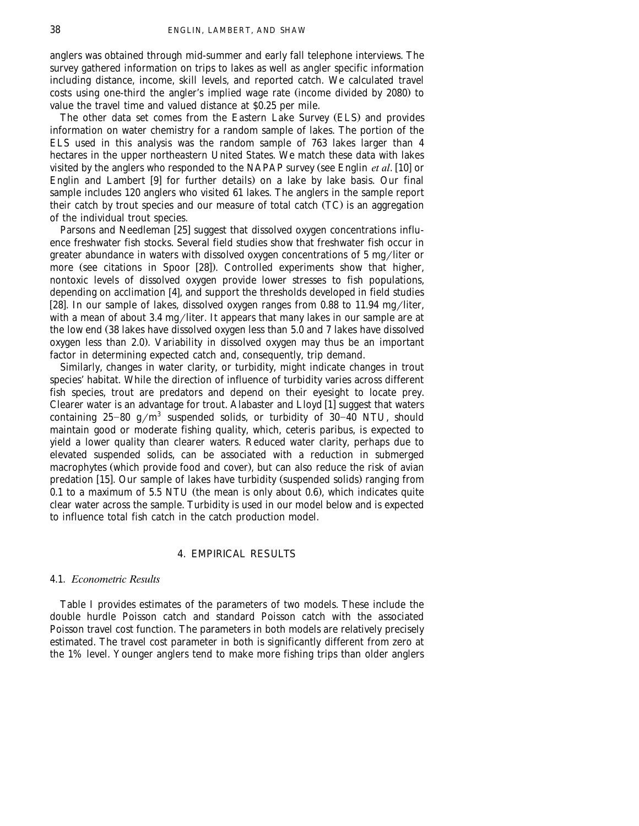anglers was obtained through mid-summer and early fall telephone interviews. The survey gathered information on trips to lakes as well as angler specific information including distance, income, skill levels, and reported catch. We calculated travel costs using one-third the angler's implied wage rate (income divided by 2080) to value the travel time and valued distance at \$0.25 per mile.

The other data set comes from the Eastern Lake Survey (ELS) and provides information on water chemistry for a random sample of lakes. The portion of the ELS used in this analysis was the random sample of 763 lakes larger than 4 hectares in the upper northeastern United States. We match these data with lakes visited by the anglers who responded to the NAPAP survey (see Englin *et al.* [10] or Englin and Lambert [9] for further details) on a lake by lake basis. Our final sample includes 120 anglers who visited 61 lakes. The anglers in the sample report their catch by trout species and our measure of total catch  $(TC)$  is an aggregation of the individual trout species.

Parsons and Needleman [25] suggest that dissolved oxygen concentrations influence freshwater fish stocks. Several field studies show that freshwater fish occur in greater abundance in waters with dissolved oxygen concentrations of  $5 \text{ mg/liter}$  or more (see citations in Spoor [28]). Controlled experiments show that higher, nontoxic levels of dissolved oxygen provide lower stresses to fish populations, depending on acclimation  $[4]$ , and support the thresholds developed in field studies repending on increased to 28 dissolved oxygen ranges from 0.88 to 11.94 mg/liter, with a mean of about 3.4 mg/liter. It appears that many lakes in our sample are at the low end (38 lakes have dissolved oxygen less than 5.0 and 7 lakes have dissolved oxygen less than 2.0). Variability in dissolved oxygen may thus be an important factor in determining expected catch and, consequently, trip demand.

Similarly, changes in water clarity, or turbidity, might indicate changes in trout species' habitat. While the direction of influence of turbidity varies across different fish species, trout are predators and depend on their eyesight to locate prey. Clearer water is an advantage for trout. Alabaster and  $Lloyd$  [1] suggest that waters containing  $25-80$  g/m<sup>3</sup> suspended solids, or turbidity of  $30-40$  NTU, should maintain good or moderate fishing quality, which, ceteris paribus, is expected to yield a lower quality than clearer waters. Reduced water clarity, perhaps due to elevated suspended solids, can be associated with a reduction in submerged macrophytes (which provide food and cover), but can also reduce the risk of avian predation [15]. Our sample of lakes have turbidity (suspended solids) ranging from 0.1 to a maximum of 5.5 NTU (the mean is only about 0.6), which indicates quite clear water across the sample. Turbidity is used in our model below and is expected to influence total fish catch in the catch production model.

# 4. EMPIRICAL RESULTS

### 4.1. *Econometric Results*

Table I provides estimates of the parameters of two models. These include the double hurdle Poisson catch and standard Poisson catch with the associated Poisson travel cost function. The parameters in both models are relatively precisely estimated. The travel cost parameter in both is significantly different from zero at the 1% level. Younger anglers tend to make more fishing trips than older anglers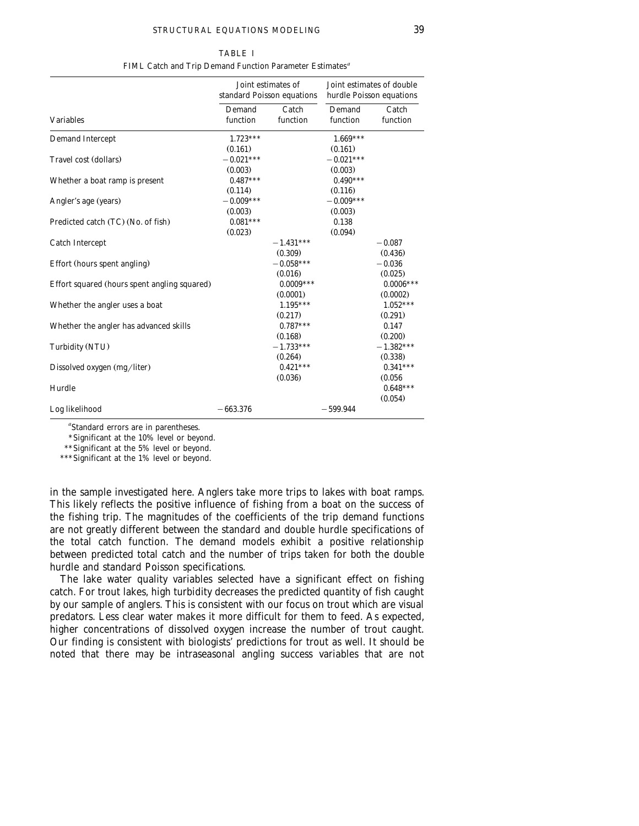#### STRUCTURAL EQUATIONS MODELING 39

|                                              | Joint estimates of<br>standard Poisson equations |             | Joint estimates of double<br>hurdle Poisson equations |             |
|----------------------------------------------|--------------------------------------------------|-------------|-------------------------------------------------------|-------------|
|                                              | Demand                                           | Catch       | Demand                                                | Catch       |
| <b>Variables</b>                             | function                                         | function    | function                                              | function    |
| <b>Demand Intercept</b>                      | $1.723***$                                       |             | $1.669***$                                            |             |
|                                              | (0.161)                                          |             | (0.161)                                               |             |
| Travel cost (dollars)                        | $-0.021***$                                      |             | $-0.021***$                                           |             |
|                                              | (0.003)                                          |             | (0.003)                                               |             |
| Whether a boat ramp is present               | $0.487***$                                       |             | $0.490***$                                            |             |
|                                              | (0.114)                                          |             | (0.116)                                               |             |
| Angler's age (years)                         | $-0.009***$                                      |             | $-0.009***$                                           |             |
|                                              | (0.003)                                          |             | (0.003)                                               |             |
| Predicted catch (TC) (No. of fish)           | $0.081***$                                       |             | 0.138                                                 |             |
|                                              | (0.023)                                          |             | (0.094)                                               |             |
| <b>Catch Intercept</b>                       |                                                  | $-1.431***$ |                                                       | $-0.087$    |
|                                              |                                                  | (0.309)     |                                                       | (0.436)     |
| Effort (hours spent angling)                 |                                                  | $-0.058***$ |                                                       | $-0.036$    |
|                                              |                                                  | (0.016)     |                                                       | (0.025)     |
| Effort squared (hours spent angling squared) |                                                  | $0.0009***$ |                                                       | $0.0006***$ |
|                                              |                                                  | (0.0001)    |                                                       | (0.0002)    |
| Whether the angler uses a boat               |                                                  | $1.195***$  |                                                       | $1.052***$  |
|                                              |                                                  | (0.217)     |                                                       | (0.291)     |
| Whether the angler has advanced skills       |                                                  | $0.787***$  |                                                       | 0.147       |
|                                              |                                                  | (0.168)     |                                                       | (0.200)     |
| Turbidity (NTU)                              |                                                  | $-1.733***$ |                                                       | $-1.382***$ |
|                                              |                                                  | (0.264)     |                                                       | (0.338)     |
| Dissolved oxygen (mg/liter)                  |                                                  | $0.421***$  |                                                       | $0.341***$  |
|                                              |                                                  | (0.036)     |                                                       | (0.056)     |
| Hurdle                                       |                                                  |             |                                                       | $0.648***$  |
|                                              |                                                  |             |                                                       | (0.054)     |
| Log likelihood                               | $-663.376$                                       |             | $-599.944$                                            |             |

### TABLE I FIML Catch and Trip Demand Function Parameter Estimates<sup>a</sup>

*a* Standard errors are in parentheses.

\*Significant at the 10% level or beyond.

\*\*Significant at the 5% level or beyond.

\*\*\*Significant at the 1% level or beyond.

in the sample investigated here. Anglers take more trips to lakes with boat ramps. This likely reflects the positive influence of fishing from a boat on the success of the fishing trip. The magnitudes of the coefficients of the trip demand functions are not greatly different between the standard and double hurdle specifications of the total catch function. The demand models exhibit a positive relationship between predicted total catch and the number of trips taken for both the double hurdle and standard Poisson specifications.

The lake water quality variables selected have a significant effect on fishing catch. For trout lakes, high turbidity decreases the predicted quantity of fish caught by our sample of anglers. This is consistent with our focus on trout which are visual predators. Less clear water makes it more difficult for them to feed. As expected, higher concentrations of dissolved oxygen increase the number of trout caught. Our finding is consistent with biologists' predictions for trout as well. It should be noted that there may be intraseasonal angling success variables that are not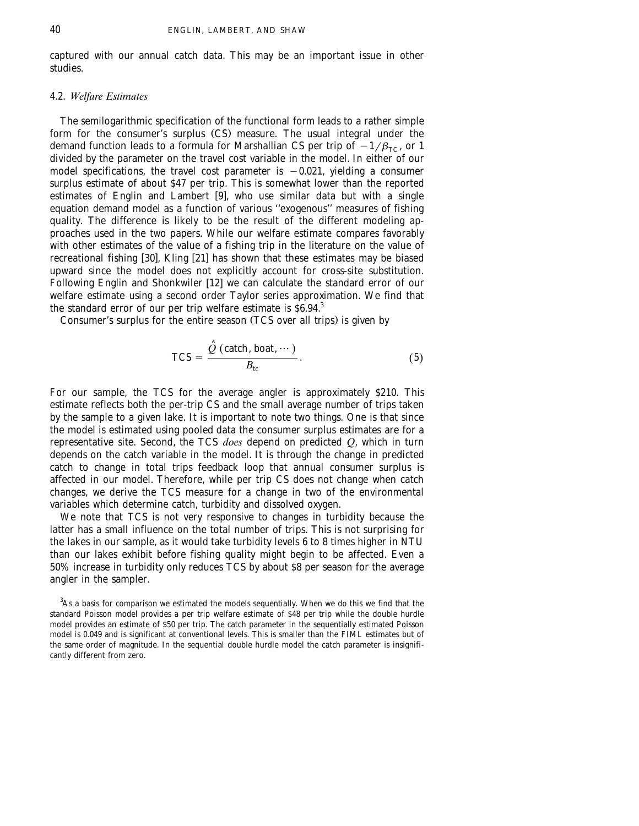captured with our annual catch data. This may be an important issue in other studies.

### 4.2. *Welfare Estimates*

The semilogarithmic specification of the functional form leads to a rather simple form for the consumer's surplus (CS) measure. The usual integral under the demand function leads to a formula for Marshallian CS per trip of  $-1/\beta_{\text{TC}}$ , or 1 divided by the parameter on the travel cost variable in the model. In either of our model specifications, the travel cost parameter is  $-0.021$ , yielding a consumer surplus estimate of about \$47 per trip. This is somewhat lower than the reported estimates of Englin and Lambert  $\left[9\right]$ , who use similar data but with a single equation demand model as a function of various ''exogenous'' measures of fishing quality. The difference is likely to be the result of the different modeling approaches used in the two papers. While our welfare estimate compares favorably with other estimates of the value of a fishing trip in the literature on the value of recreational fishing  $[30]$ , Kling  $[21]$  has shown that these estimates may be biased upward since the model does not explicitly account for cross-site substitution.  $\overline{F}$ ollowing Englin and Shonkwiler [12] we can calculate the standard error of our welfare estimate using a second order Taylor series approximation. We find that the standard error of our per trip welfare estimate is  $$6.94$ <sup>3</sup>

Consumer's surplus for the entire season (TCS over all trips) is given by

$$
TCS = \frac{\hat{Q}(\text{catch, boat}, \cdots)}{B_{\text{tc}}}.
$$
 (5)

For our sample, the TCS for the average angler is approximately \$210. This estimate reflects both the per-trip CS and the small average number of trips taken by the sample to a given lake. It is important to note two things. One is that since the model is estimated using pooled data the consumer surplus estimates are for a representative site. Second, the TCS *does* depend on predicted *Q*, which in turn depends on the catch variable in the model. It is through the change in predicted catch to change in total trips feedback loop that annual consumer surplus is affected in our model. Therefore, while per trip CS does not change when catch changes, we derive the TCS measure for a change in two of the environmental variables which determine catch, turbidity and dissolved oxygen.

We note that TCS is not very responsive to changes in turbidity because the latter has a small influence on the total number of trips. This is not surprising for the lakes in our sample, as it would take turbidity levels 6 to 8 times higher in NTU than our lakes exhibit before fishing quality might begin to be affected. Even a 50% increase in turbidity only reduces TCS by about \$8 per season for the average angler in the sampler.

 $3$ As a basis for comparison we estimated the models sequentially. When we do this we find that the standard Poisson model provides a per trip welfare estimate of \$48 per trip while the double hurdle model provides an estimate of \$50 per trip. The catch parameter in the sequentially estimated Poisson model is 0.049 and is significant at conventional levels. This is smaller than the FIML estimates but of the same order of magnitude. In the sequential double hurdle model the catch parameter is insignificantly different from zero.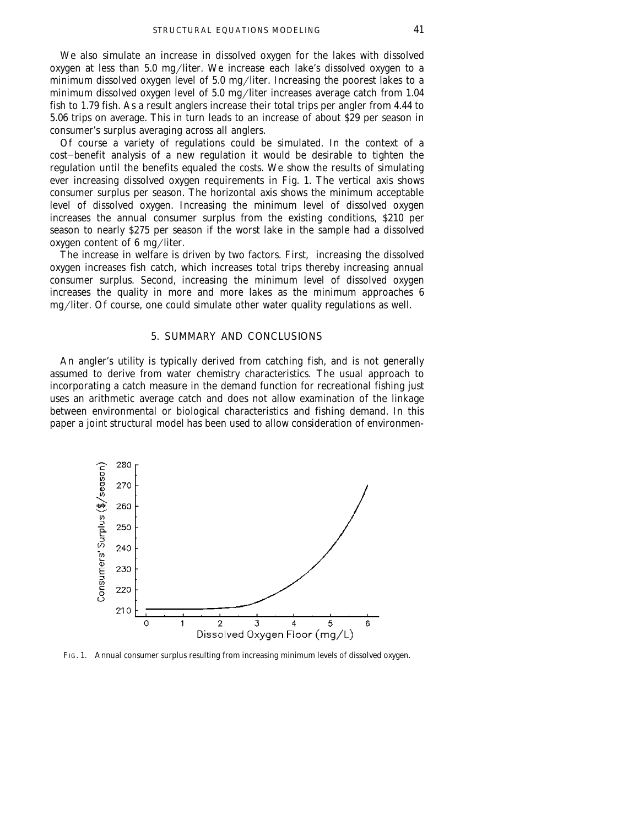We also simulate an increase in dissolved oxygen for the lakes with dissolved oxygen at less than 5.0 mg/liter. We increase each lake's dissolved oxygen to a minimum dissolved oxygen level of  $5.0 \text{ mg/l}$  liter. Increasing the poorest lakes to a minimum dissolved oxygen level of 5.0 mg/liter increases average catch from  $1.04$ fish to 1.79 fish. As a result anglers increase their total trips per angler from 4.44 to 5.06 trips on average. This in turn leads to an increase of about \$29 per season in consumer's surplus averaging across all anglers.

Of course a variety of regulations could be simulated. In the context of a cost-benefit analysis of a new regulation it would be desirable to tighten the regulation until the benefits equaled the costs. We show the results of simulating ever increasing dissolved oxygen requirements in Fig. 1. The vertical axis shows consumer surplus per season. The horizontal axis shows the minimum acceptable level of dissolved oxygen. Increasing the minimum level of dissolved oxygen increases the annual consumer surplus from the existing conditions, \$210 per season to nearly \$275 per season if the worst lake in the sample had a dissolved oxygen content of  $6 \text{ mg/liter}$ .

The increase in welfare is driven by two factors. First, increasing the dissolved oxygen increases fish catch, which increases total trips thereby increasing annual consumer surplus. Second, increasing the minimum level of dissolved oxygen increases the quality in more and more lakes as the minimum approaches 6  $mg/l$  iter. Of course, one could simulate other water quality regulations as well.

### 5. SUMMARY AND CONCLUSIONS

An angler's utility is typically derived from catching fish, and is not generally assumed to derive from water chemistry characteristics. The usual approach to incorporating a catch measure in the demand function for recreational fishing just uses an arithmetic average catch and does not allow examination of the linkage between environmental or biological characteristics and fishing demand. In this paper a joint structural model has been used to allow consideration of environmen-



FIG. 1. Annual consumer surplus resulting from increasing minimum levels of dissolved oxygen.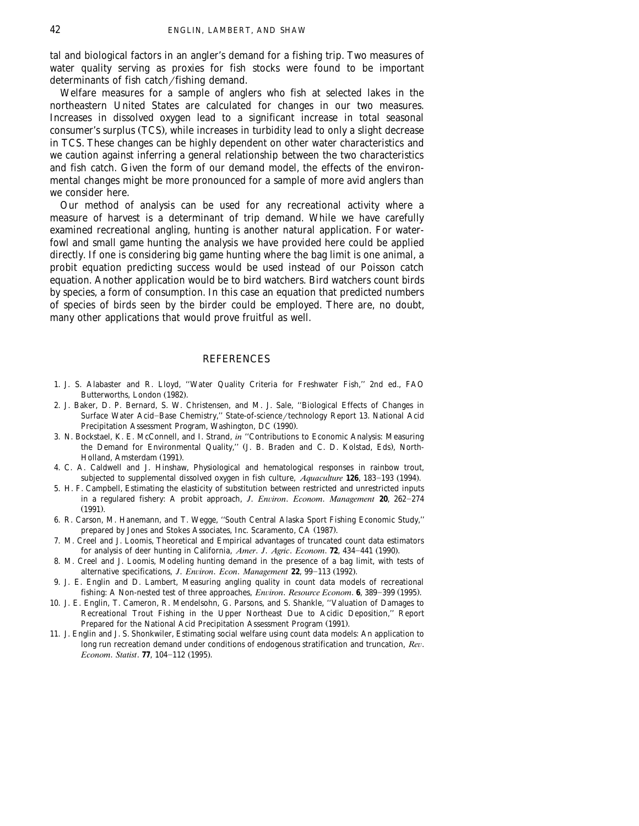tal and biological factors in an angler's demand for a fishing trip. Two measures of water quality serving as proxies for fish stocks were found to be important determinants of fish catch/fishing demand.

Welfare measures for a sample of anglers who fish at selected lakes in the northeastern United States are calculated for changes in our two measures. Increases in dissolved oxygen lead to a significant increase in total seasonal consumer's surplus (TCS), while increases in turbidity lead to only a slight decrease in TCS. These changes can be highly dependent on other water characteristics and we caution against inferring a general relationship between the two characteristics and fish catch. Given the form of our demand model, the effects of the environmental changes might be more pronounced for a sample of more avid anglers than we consider here.

Our method of analysis can be used for any recreational activity where a measure of harvest is a determinant of trip demand. While we have carefully examined recreational angling, hunting is another natural application. For waterfowl and small game hunting the analysis we have provided here could be applied directly. If one is considering big game hunting where the bag limit is one animal, a probit equation predicting success would be used instead of our Poisson catch equation. Another application would be to bird watchers. Bird watchers count birds by species, a form of consumption. In this case an equation that predicted numbers of species of birds seen by the birder could be employed. There are, no doubt, many other applications that would prove fruitful as well.

#### **REFERENCES**

- 1. J. S. Alabaster and R. Lloyd, ''Water Quality Criteria for Freshwater Fish,'' 2nd ed., FAO Butterworths, London (1982).
- 2. J. Baker, D. P. Bernard, S. W. Christensen, and M. J. Sale, ''Biological Effects of Changes in Surface Water Acid-Base Chemistry," State-of-science/technology Report 13. National Acid Precipitation Assessment Program, Washington, DC (1990).
- 3. N. Bockstael, K. E. McConnell, and I. Strand, *in* ''Contributions to Economic Analysis: Measuring the Demand for Environmental Quality," (J. B. Braden and C. D. Kolstad, Eds), North-Holland, Amsterdam (1991).
- 4. C. A. Caldwell and J. Hinshaw, Physiological and hematological responses in rainbow trout, subjected to supplemental dissolved oxygen in fish culture, *Aquaculture* 126, 183-193 (1994).
- 5. H. F. Campbell, Estimating the elasticity of substitution between restricted and unrestricted inputs in a regulared fishery: A probit approach, *J. Environ. Econom. Management* **20**, 262–274  $(1991)$ .
- 6. R. Carson, M. Hanemann, and T. Wegge, ''South Central Alaska Sport Fishing Economic Study,'' prepared by Jones and Stokes Associates, Inc. Scaramento, CA (1987).
- 7. M. Creel and J. Loomis, Theoretical and Empirical advantages of truncated count data estimators for analysis of deer hunting in California, *Amer. J. Agric. Econom.* **72**, 434-441 (1990).
- 8. M. Creel and J. Loomis, Modeling hunting demand in the presence of a bag limit, with tests of alternative specifications, *J. Environ. Econ. Management* **22**, 99-113 (1992).
- 9. J. E. Englin and D. Lambert, Measuring angling quality in count data models of recreational fishing: A Non-nested test of three approaches, *Environ. Resource Econom.* **6**, 389–399 (1995).
- 10. J. E. Englin, T. Cameron, R. Mendelsohn, G. Parsons, and S. Shankle, ''Valuation of Damages to Recreational Trout Fishing in the Upper Northeast Due to Acidic Deposition,'' Report Prepared for the National Acid Precipitation Assessment Program (1991).
- 11. J. Englin and J. S. Shonkwiler, Estimating social welfare using count data models: An application to long run recreation demand under conditions of endogenous stratification and truncation, *Rev. Econom. Statist.* **77**, 104-112 (1995).